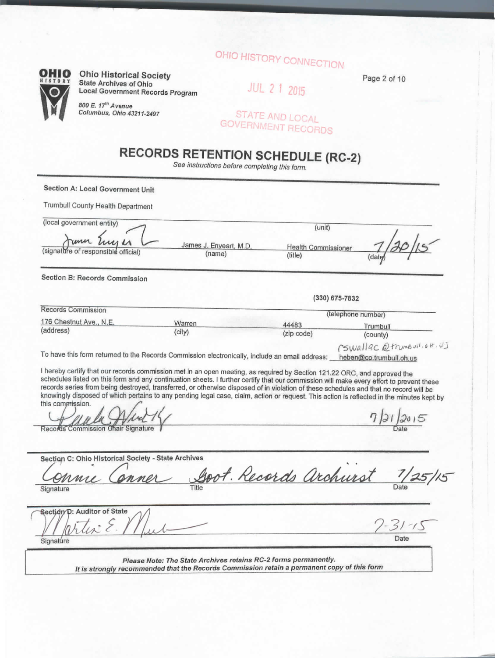# OHIO HISTORY CONNECTION

 $\overline{C}$ 

**OHIO** Ohio Historical Society State Archives of Ohio Local Government Records Program

> 800 E. 17'" Avenue Columbus, Ohio 43211-2497

Page 2 of 10

**JUL 2 1 2015** 

STATE AND LOCAL GOVERNMENT RECORDS

## **RECORDS RETENTION SCHEDULE (RC-2)**

See instructions before completing this form.

**Section A: Local Government Unit**

Trumbull County Health Department

| (local government entity)                                                                                                                                                                                                                                                                                                                                                                                                                                                                                                                                                                                                                                                                                              |                                  | (unit)                                |                                                                  |
|------------------------------------------------------------------------------------------------------------------------------------------------------------------------------------------------------------------------------------------------------------------------------------------------------------------------------------------------------------------------------------------------------------------------------------------------------------------------------------------------------------------------------------------------------------------------------------------------------------------------------------------------------------------------------------------------------------------------|----------------------------------|---------------------------------------|------------------------------------------------------------------|
| rum Enger<br>(signature of responsible official)                                                                                                                                                                                                                                                                                                                                                                                                                                                                                                                                                                                                                                                                       | James J. Enyeart, M.D.<br>(name) | <b>Health Commissioner</b><br>(title) | (date                                                            |
| Section B: Records Commission                                                                                                                                                                                                                                                                                                                                                                                                                                                                                                                                                                                                                                                                                          |                                  |                                       |                                                                  |
|                                                                                                                                                                                                                                                                                                                                                                                                                                                                                                                                                                                                                                                                                                                        |                                  |                                       | (330) 675-7832                                                   |
| Records Commission                                                                                                                                                                                                                                                                                                                                                                                                                                                                                                                                                                                                                                                                                                     |                                  |                                       | (telephone number)                                               |
| 176 Chestnut Ave., N.E.                                                                                                                                                                                                                                                                                                                                                                                                                                                                                                                                                                                                                                                                                                | Warren                           | 44483                                 | Trumbull                                                         |
| (address)                                                                                                                                                                                                                                                                                                                                                                                                                                                                                                                                                                                                                                                                                                              | (city)                           | (zip code)                            | (county)                                                         |
| To have this form returned to the Records Commission electronically, include an email address:<br>I hereby certify that our records commission met in an open meeting, as required by Section 121.22 ORC, and approved the<br>schedules listed on this form and any continuation sheets. I further certify that our commission will make every effort to prevent these<br>records series from being destroyed, transferred, or otherwise disposed of in violation of these schedules and that no record will be<br>knowingly disposed of which pertains to any pending legal case, claim, action or request. This action is reflected in the minutes kept by<br>this commission.<br>Records Commission Chair Signature |                                  |                                       | CSWallac @trumbuil.0H.US<br>heben@co.trumbull.oh.us<br>7/21/2015 |
| Section C: Ohio Historical Society - State Archives                                                                                                                                                                                                                                                                                                                                                                                                                                                                                                                                                                                                                                                                    |                                  |                                       |                                                                  |
| Signature                                                                                                                                                                                                                                                                                                                                                                                                                                                                                                                                                                                                                                                                                                              | Title                            | Goot. Records archurst                |                                                                  |

Please Note: The State Archives retains RC-2 forms permanently. It is strongly recommended that the Records Commission retain a permanent copy of this form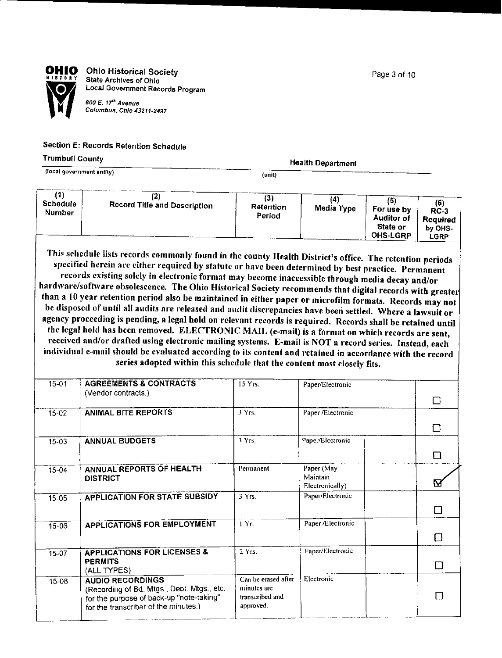Page 3 of 10



**OHIO** Ohio Historical Society *Wilsham Child Historical Solutions* State Archives of Ohio<br>
COZ Local Government Records Program

800 E. 17<sup>ih</sup> Avenue<br>Columbus, Ohio 43211-2497

#### **Section E; Records** Retention **Schedule**

#### Trumbull **County**

(focal government entity)

**Health Department**

(unit)

| (1)<br>Schedule<br><b>Number</b> | (2)<br><b>Record Title and Description</b><br>This schedule lists records commonly found in the county Health District's office. The retention periods<br>specified herein are either required by statute or have been determined by best practice. Permanent<br>records existing solely in electronic format may become inaccessible through media decay and/or<br>hardware/software obsolescence. The Ohio Historical Society recommends that digital records with greater<br>than a 10 year retention period also be maintained in either paper or microfilm formats. Records may not | (3)<br>Retention<br>Period                                         | (4)<br>Media Type                         | (5)<br>For use by<br><b>Auditor of</b><br>State or<br><b>OHS-LGRP</b> | (6)<br>$RC-3$<br>Required<br>by OHS-<br>LGRP |
|----------------------------------|------------------------------------------------------------------------------------------------------------------------------------------------------------------------------------------------------------------------------------------------------------------------------------------------------------------------------------------------------------------------------------------------------------------------------------------------------------------------------------------------------------------------------------------------------------------------------------------|--------------------------------------------------------------------|-------------------------------------------|-----------------------------------------------------------------------|----------------------------------------------|
|                                  | be disposed of until all audits are released and audit discrepancies have been settled. Where a lawsuit or<br>agency proceeding is pending, a legal hold on relevant records is required. Records shall be retained until<br>the legal hold has been removed. ELECTRONIC MAIL (e-mail) is a format on which records are sent,                                                                                                                                                                                                                                                            |                                                                    |                                           |                                                                       |                                              |
|                                  | received and/or drafted using electronic mailing systems. E-mail is NOT a record series. Instead, each<br>individual e-mail should be evaluated according to its content and retained in accordance with the record<br>series adopted within this schedule that the content most closely fits.                                                                                                                                                                                                                                                                                           |                                                                    |                                           |                                                                       |                                              |
| $15 - 01$                        | <b>AGREEMENTS &amp; CONTRACTS</b><br>(Vendor contracts.)                                                                                                                                                                                                                                                                                                                                                                                                                                                                                                                                 | 15 Yrs.                                                            | Paper/Electronic                          |                                                                       | □                                            |
| $15-02$                          | <b>ANIMAL BITE REPORTS</b>                                                                                                                                                                                                                                                                                                                                                                                                                                                                                                                                                               | 3Yrs.                                                              | Paper /Electronic                         |                                                                       | □                                            |
| 15-03                            | <b>ANNUAL BUDGETS</b>                                                                                                                                                                                                                                                                                                                                                                                                                                                                                                                                                                    | 3Yrs.                                                              | Paper/Electronic                          |                                                                       | $\Box$                                       |
| $15 - 04$                        | <b>ANNUAL REPORTS OF HEALTH</b><br><b>DISTRICT</b>                                                                                                                                                                                                                                                                                                                                                                                                                                                                                                                                       | Permanent                                                          | Paper (May<br>Maintain<br>Electronically) |                                                                       | M                                            |
| 15-05                            | <b>APPLICATION FOR STATE SUBSIDY</b>                                                                                                                                                                                                                                                                                                                                                                                                                                                                                                                                                     | 3 Yrs.                                                             | Paper/Electronic                          |                                                                       | □                                            |
| 15-06                            | <b>APPLICATIONS FOR EMPLOYMENT</b>                                                                                                                                                                                                                                                                                                                                                                                                                                                                                                                                                       | 1 Yr.                                                              | Paper /Electronic                         |                                                                       | □                                            |
| 15-07                            | <b>APPLICATIONS FOR LICENSES &amp;</b><br><b>PERMITS</b><br>(ALL TYPES)                                                                                                                                                                                                                                                                                                                                                                                                                                                                                                                  | 2Yrs.                                                              | Paper/Electronic                          |                                                                       | Ω                                            |
| $15 - 08$                        | <b>AUDIO RECORDINGS</b><br>(Recording of Bd. Mtgs., Dept. Mtgs., etc.<br>for the purpose of back-up "note-taking"<br>for the transcriber of the minutes.)                                                                                                                                                                                                                                                                                                                                                                                                                                | Can be erased after<br>minutes are<br>transcribed and<br>approved. | Electronic                                |                                                                       | Π                                            |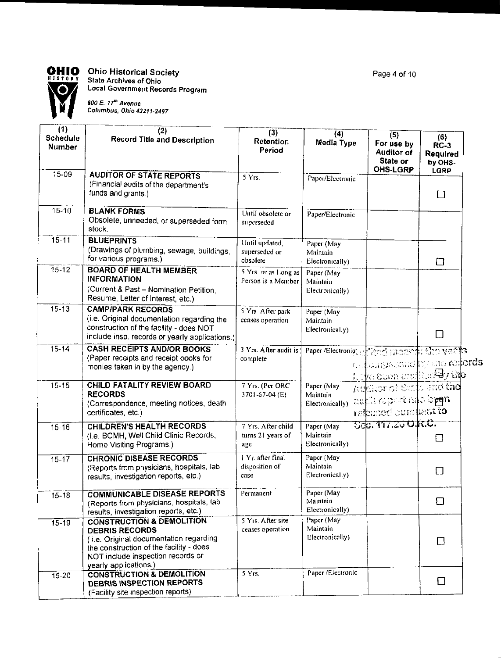

## **OHIO** Ohio Historical Society

**Local Government Records Program**

**Columbus, Ohio 43211-2497**

| (1)<br><b>Schedule</b><br>Number | (2)<br><b>Record Title and Description</b>                                                                                                                                              | (3)<br>Retention<br>Period                     | (4)<br>Media Type                             | (5)<br>For use by<br><b>Auditor of</b><br>State or<br><b>OHS-LGRP</b>                 | (6)<br>$RC-3$<br><b>Required</b><br>by OHS-<br><b>LGRP</b> |  |
|----------------------------------|-----------------------------------------------------------------------------------------------------------------------------------------------------------------------------------------|------------------------------------------------|-----------------------------------------------|---------------------------------------------------------------------------------------|------------------------------------------------------------|--|
| $15 - 09$                        | <b>AUDITOR OF STATE REPORTS</b><br>(Financial audits of the department's<br>funds and grants.)                                                                                          | 5 Yrs.                                         | Paper/Electronic                              |                                                                                       | □                                                          |  |
| $15 - 10$                        | <b>BLANK FORMS</b><br>Obsolete, unneeded, or superseded form<br>stock.                                                                                                                  | Until obsolete or<br>superseded                | Paper/Electronic                              |                                                                                       |                                                            |  |
| $15 - 11$                        | <b>BLUEPRINTS</b><br>(Drawings of plumbing, sewage, buildings,<br>for various programs.)                                                                                                | Until updated,<br>superseded or<br>obsolete    | Paper (May<br>Maintain<br>Electronically)     |                                                                                       | □                                                          |  |
| $15 - 12$                        | <b>BOARD OF HEALTH MEMBER</b><br><b>INFORMATION</b><br>(Current & Past - Nomination Petition,<br>Resume, Letter of Interest, etc.)                                                      | 5 Yrs. or as Long as<br>Person is a Member     | Paper (May<br>Maintain<br>Electronically)     |                                                                                       |                                                            |  |
| $15 - 13$                        | <b>CAMP/PARK RECORDS</b><br>(i.e. Original documentation regarding the<br>construction of the facility - does NOT<br>include insp. records or yearly applications.)                     | 5 Yrs. After park<br>ceases operation          | Paper (May<br>Maintain<br>Electronically)     |                                                                                       | □                                                          |  |
| $15 - 14$                        | <b>CASH RECEIPTS AND/OR BOOKS</b><br>(Paper receipts and receipt books for<br>monies taken in by the agency.)                                                                           | 3 Yrs. After audit is<br>complete              | Paper /Electronic of Wood manager files years | onfolagabod by the redords<br><u> Novo Suen austino Ey th<mark>e</mark></u>           |                                                            |  |
| $15 - 15$                        | CHILD FATALITY REVIEW BOARD<br><b>RECORDS</b><br>(Correspondence, meeting notices, death<br>certificates, etc.)                                                                         | 7 Yrs. (Per ORC<br>3701-67-04 (E)              | Paper (May<br>Maintain<br>Electronically)     | Author of State and the<br>auflis caparendo b <del>eq</del> n<br>relpaced pursuant to |                                                            |  |
| $15 - 16$                        | <b>CHILDREN'S HEALTH RECORDS</b><br>(i.e. BCMH, Well Child Clinic Records,<br>Home Visiting Programs.)                                                                                  | 7 Yrs. After child<br>turns 21 years of<br>age | Paper (May<br>Maintain<br>Electronically)     | <u>500. 117.20 O.R.C.</u>                                                             | □                                                          |  |
| $15 - 17$                        | <b>CHRONIC DISEASE RECORDS</b><br>(Reports from physicians, hospitals, lab<br>results, investigation reports, etc.)                                                                     | 1 Yr. after final<br>disposition of<br>case    | Paper (May<br>Maintain<br>Electronically)     |                                                                                       | $\Box$                                                     |  |
| $15 - 18$                        | <b>COMMUNICABLE DISEASE REPORTS</b><br>(Reports from physicians, hospitals, lab<br>results, investigation reports, etc.)                                                                | Permanent                                      | Paper (May<br>Maintain<br>Electronically)     |                                                                                       | $\Box$                                                     |  |
| $15 - 19$                        | <b>CONSTRUCTION &amp; DEMOLITION</b><br><b>DEBRIS RECORDS</b><br>(i.e. Original documentation regarding<br>the construction of the facility - does<br>NOT include inspection records or | 5 Yrs. After site<br>ceases operation          | Paper (May<br>Maintain<br>Electronically)     |                                                                                       | $\Box$                                                     |  |
| $15 - 20$                        | yearly applications.)<br><b>CONSTRUCTION &amp; DEMOLITION</b><br>DEBRIS INSPECTION REPORTS<br>(Facility site inspection reports)                                                        | 5 Yrs.                                         | Paper /Electronic                             |                                                                                       | $\Box$                                                     |  |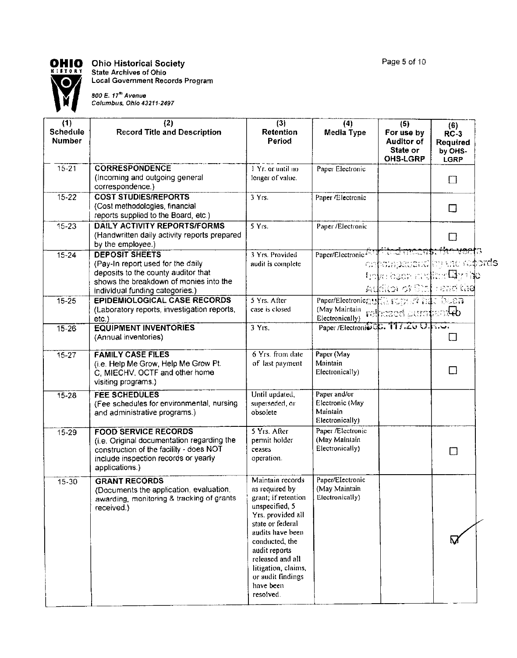

## **OHIO** Ohio Historical Society

State Archives of Ohio Local Government Records Program

300 E. 17"'Avenue Columbus, Ohio 43211-2437

| (1)<br><b>Schedule</b><br>Number | (2)<br><b>Record Title and Description</b>                                                                                                                                     | (3)<br><b>Retention</b><br>Period                                                                                                                                                                                                                                     | (4)<br>Media Type                                                                | (5)<br>For use by<br><b>Auditor of</b><br>State or<br><b>OHS-LGRP</b>                                                 | (6)<br>$RC-3$<br>Required<br>by OHS-<br><b>LGRP</b> |  |
|----------------------------------|--------------------------------------------------------------------------------------------------------------------------------------------------------------------------------|-----------------------------------------------------------------------------------------------------------------------------------------------------------------------------------------------------------------------------------------------------------------------|----------------------------------------------------------------------------------|-----------------------------------------------------------------------------------------------------------------------|-----------------------------------------------------|--|
| $15 - 21$                        | <b>CORRESPONDENCE</b><br>(Incoming and outgoing general<br>correspondence.)                                                                                                    | 1 Yr. or until no<br>longer of value.                                                                                                                                                                                                                                 | Paper Electronic                                                                 |                                                                                                                       | $\Box$                                              |  |
| $15 - 22$                        | <b>COST STUDIES/REPORTS</b><br>(Cost methodologies, financial<br>reports supplied to the Board, etc.)                                                                          | 3 Yrs.                                                                                                                                                                                                                                                                | Paper /Electronic                                                                |                                                                                                                       | $\Box$                                              |  |
| $15 - 23$                        | <b>DAILY ACTIVITY REPORTS/FORMS</b><br>(Handwritten daily activity reports prepared<br>by the employee.)                                                                       | 5 Yrs.                                                                                                                                                                                                                                                                | Paper /Electronic                                                                |                                                                                                                       | ⊔                                                   |  |
| $15 - 24$                        | <b>DEPOSIT SHEETS</b><br>(Pay-In report used for the daily<br>deposits to the county auditor that<br>shows the breakdown of monies into the<br>individual funding categories.) | 3 Yrs. Provided<br>audit is complete                                                                                                                                                                                                                                  | Paper/Electronic Ass Mile of moderation weeks                                    | on para passer and respect to the model of the second states<br>hoko bean andran By the<br>Addition of Stat : and the |                                                     |  |
| $15 - 25$                        | <b>EPIDEMIOLOGICAL CASE RECORDS</b><br>(Laboratory reports, investigation reports,<br>etc.                                                                                     | 5 Yrs. After<br>case is closed                                                                                                                                                                                                                                        | Paper/Electronic aurely success state base a<br>(May Maintain<br>Electronically) | refeased aurofamileb                                                                                                  |                                                     |  |
| $15 - 26$                        | <b>EQUIPMENT INVENTORIES</b><br>(Annual inventories)                                                                                                                           | 3 Yrs.                                                                                                                                                                                                                                                                | Paper /Electronis C.F. 117.20 O.F.O.                                             |                                                                                                                       | lΙ                                                  |  |
| $15 - 27$                        | <b>FAMILY CASE FILES</b><br>(i.e. Help Me Grow, Help Me Grow Pt.<br>C. MIECHV, OCTF and other home<br>visiting programs.)                                                      | 6 Yrs. from date<br>of last payment                                                                                                                                                                                                                                   | Paper (May<br>Maintain<br>Electronically)                                        |                                                                                                                       | □                                                   |  |
| $15 - 28$                        | <b>FEE SCHEDULES</b><br>(Fee schedules for environmental, nursing<br>and administrative programs.)                                                                             | Until updated,<br>superseded, or<br>obsolete                                                                                                                                                                                                                          | Paper and/or<br>Electronic (May<br>Maintain<br>Electronically)                   |                                                                                                                       |                                                     |  |
| $15 - 29$                        | <b>FOOD SERVICE RECORDS</b><br>(i.e. Original documentation regarding the<br>construction of the facility - does NOT<br>include inspection records or yearly<br>applications.) | 5 Yrs. After<br>permit holder<br>ceases<br>operation.                                                                                                                                                                                                                 | Paper /Electronic<br>(May Maintain<br>Electronically)                            |                                                                                                                       | $\Box$                                              |  |
| $15 - 30$                        | <b>GRANT RECORDS</b><br>(Documents the application, evaluation,<br>awarding, monitoring & tracking of grants<br>received.)                                                     | Maintain records<br>as required by<br>grant; if retention<br>unspecified, 5<br>Yrs. provided all<br>state or federal<br>audits have been<br>conducted, the<br>audit reports<br>released and all<br>litigation, claims,<br>or audit findings<br>have been<br>resolved. | Paper/Electronic<br>(May Maintain<br>Electronically)                             |                                                                                                                       | м                                                   |  |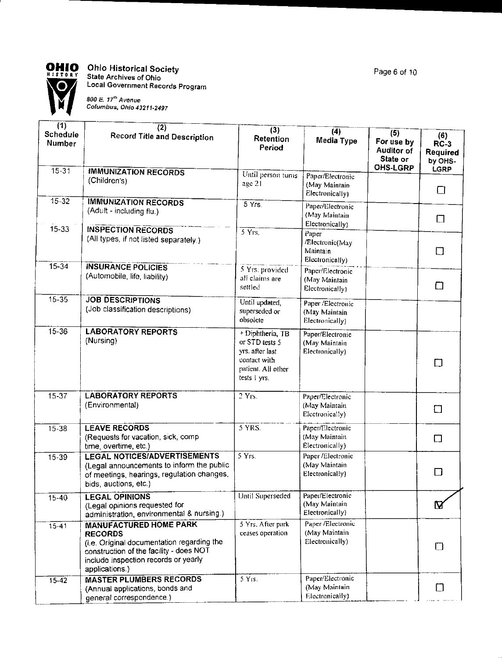

r

L

#### Ohio Historical Society **State** Archives of Ohio Local Government Records Program

800 E. 17'" Avenue **Columbus, Ohio 43211-2497**

| (1)<br><b>Schedule</b><br>Number<br>$15 - 31$ | (2)<br><b>Record Title and Description</b>                                                                                                                                                         | (3)<br>Retention<br>Period                                                                                    | (4)<br>Media Type                                       | (5)<br>For use by<br><b>Auditor of</b><br>State or<br>OHS-LGRP | (6)<br>$RC-3$<br>Required<br>by OHS-<br>LGRP |
|-----------------------------------------------|----------------------------------------------------------------------------------------------------------------------------------------------------------------------------------------------------|---------------------------------------------------------------------------------------------------------------|---------------------------------------------------------|----------------------------------------------------------------|----------------------------------------------|
|                                               | <b>IMMUNIZATION RECORDS</b><br>(Children's)                                                                                                                                                        | Until person turns<br>age 21                                                                                  | Paper/Electronic<br>(May Maintain<br>Electronically)    |                                                                | $\Box$                                       |
| 1532<br>$15 - 33$                             | <b>IMMUNIZATION RECORDS</b><br>(Adult - including flu.)                                                                                                                                            | 5Yrs                                                                                                          | Paper/Electronic<br>(May Maintain<br>Electronically)    |                                                                | $\Box$                                       |
|                                               | <b>INSPECTION RECORDS</b><br>(All types, if not listed separately.)                                                                                                                                | $5 \text{Yrs.}$                                                                                               | Paper<br>/Electronic(May<br>Maintain<br>Electronically) |                                                                | $\Box$                                       |
| $15 - 34$                                     | <b>INSURANCE POLICIES</b><br>(Automobile, life, liability)                                                                                                                                         | 5 Yrs. provided<br>all claims are<br>settled                                                                  | Paper/Electronic<br>(May Maintain<br>Electronically)    |                                                                | □                                            |
| $15 - 35$                                     | <b>JOB DESCRIPTIONS</b><br>(Job classification descriptions)                                                                                                                                       | Until updated,<br>superseded or<br>obsolete                                                                   | Paper /Electronic<br>(May Maintain<br>Electronically)   |                                                                |                                              |
| $15 - 36$                                     | <b>LABORATORY REPORTS</b><br>(Nursing)                                                                                                                                                             | $+$ Diphtheria, TB<br>or STD tests 5<br>yrs. after last<br>contact with<br>patient. All other<br>tests I yrs. | Paper/Electronic<br>(May Maintain<br>Electronically)    |                                                                | □                                            |
| $15 - 37$                                     | <b>LABORATORY REPORTS</b><br>(Environmental)                                                                                                                                                       | $2$ Yrs.                                                                                                      | Paper/Electronic<br>(May Maintain<br>Electronically)    |                                                                | $\Box$                                       |
| $15 - 38$                                     | <b>LEAVE RECORDS</b><br>(Requests for vacation, sick, comp.<br>time, overtime, etc.)                                                                                                               | 5 YRS.                                                                                                        | Paper/Electronic<br>(May Maintain<br>Electronically)    |                                                                | $\Box$                                       |
| $15 - 39$                                     | <b>LEGAL NOTICES/ADVERTISEMENTS</b><br>(Legal announcements to inform the public<br>of meetings, hearings, regulation changes,<br>bids, auctions, etc.)                                            | 5 Yrs                                                                                                         | Paper/Electronic<br>(May Maintain<br>Electronically)    |                                                                | $\Box$                                       |
| 15-40                                         | <b>LEGAL OPINIONS</b><br>(Legal opinions requested for<br>administration, environmental & nursing.)                                                                                                | Until Superseded                                                                                              | Paper/Electronic<br>(May Maintain<br>Electronically)    |                                                                | $\mathbf{B}$                                 |
| $15 - 41$                                     | <b>MANUFACTURED HOME PARK</b><br><b>RECORDS</b><br>(i.e. Original documentation regarding the<br>construction of the facility - does NOT<br>include inspection records or yearly<br>applications.) | 5 Yrs. After park<br>ceases operation                                                                         | Paper /Electronic<br>(May Maintain<br>Electronically)   |                                                                | □                                            |
| $15 - 42$                                     | <b>MASTER PLUMBERS RECORDS</b><br>(Annual applications, bonds and<br>general correspondence.)                                                                                                      | 5 Yrs.                                                                                                        | Paper/Electronic<br>(May Maintain<br>Electronically)    |                                                                | □                                            |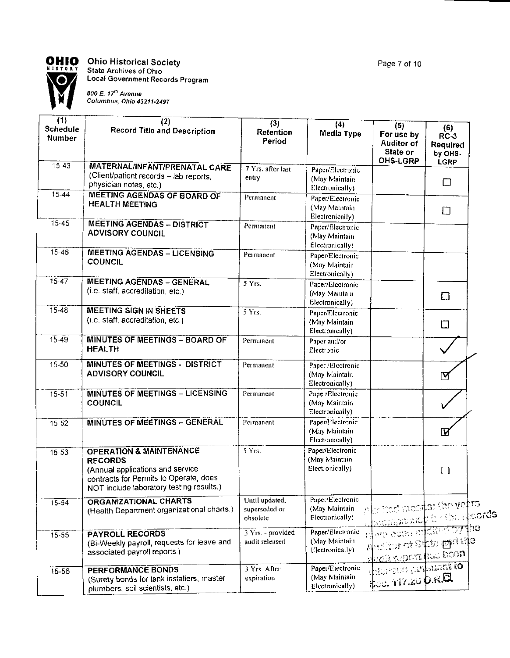

**OHIO** Ohio Historical Society<br>
<sup>RISTORY</sup> State Archives of Ohio<br>
Local Government Records Program



| (1)<br><b>Schedule</b><br><b>Number</b> | (2)<br><b>Record Title and Description</b>                                                                                                                                     | (3)<br>Retention<br>Period                  | $\overline{(4)}$<br><b>Media Type</b>                 | (5)<br>For use by<br><b>Auditor of</b><br>State or<br><b>OHS-LGRP</b>                   | (6)<br>$RC-3$<br>Required<br>by OHS- |  |
|-----------------------------------------|--------------------------------------------------------------------------------------------------------------------------------------------------------------------------------|---------------------------------------------|-------------------------------------------------------|-----------------------------------------------------------------------------------------|--------------------------------------|--|
| $15-43$                                 | <b>MATERNAL/INFANT/PRENATAL CARE</b><br>(Client/patient records - lab reports,<br>physician notes, etc.)                                                                       | 7 Yrs. after last<br>entry                  | Paper/Electronic<br>(May Maintain<br>Electronically)  |                                                                                         | <b>LGRP</b><br>□                     |  |
| $15 - 44$                               | <b>MEETING AGENDAS OF BOARD OF</b><br><b>HEALTH MEETING</b>                                                                                                                    | Permanent                                   | Paper/Electronic<br>(May Maintain<br>Electronically)  |                                                                                         | $\Box$                               |  |
| 15-45                                   | <b>MEETING AGENDAS - DISTRICT</b><br><b>ADVISORY COUNCIL</b>                                                                                                                   | Permanent                                   | Paper/Electronic<br>(May Maintain<br>Electronically)  |                                                                                         |                                      |  |
| $15 - 46$                               | <b>MEETING AGENDAS - LICENSING</b><br><b>COUNCIL</b>                                                                                                                           | Permanent                                   | Paper/Electronic<br>(May Maintain<br>Electronically)  |                                                                                         |                                      |  |
| $15 - 47$                               | <b>MEETING AGENDAS - GENERAL</b><br>(i.e. staff, accreditation, etc.)                                                                                                          | 5 Yrs.                                      | Paper/Electronic<br>(May Maintain<br>Electronically)  |                                                                                         | $\Box$                               |  |
| $15 - 48$                               | <b>MEETING SIGN IN SHEETS</b><br>(i.e. staff, accreditation, etc.)                                                                                                             | $5$ Yrs.                                    | Paper/Electronic<br>(May Maintain<br>Electronically)  |                                                                                         | $\Box$                               |  |
| $15 - 49$                               | <b>MINUTES OF MEETINGS - BOARD OF</b><br><b>HEALTH</b>                                                                                                                         | Permanent                                   | Paper and/or<br>Electronic                            |                                                                                         |                                      |  |
| $15 - 50$                               | <b>MINUTES OF MEETINGS - DISTRICT</b><br><b>ADVISORY COUNCIL</b>                                                                                                               | Permanent                                   | Paper /Electronic<br>(May Maintain<br>Electronically) |                                                                                         | ⊠                                    |  |
| 15-51                                   | MINUTES OF MEETINGS - LICENSING<br>COUNCIL                                                                                                                                     | Permanent                                   | Paper/Electronic<br>(May Maintain<br>Electronically)  |                                                                                         |                                      |  |
| $15-52$                                 | MINUTES OF MEETINGS - GENERAL                                                                                                                                                  | Permanent                                   | Paper/Electronic<br>(May Maintain<br>Electronically)  |                                                                                         | $\overline{\mathbf{z}}$              |  |
| $15 - 53$                               | <b>OPERATION &amp; MAINTENANCE</b><br><b>RECORDS</b><br>(Annual applications and service<br>contracts for Permits to Operate, does<br>NOT include laboratory testing results.) | 5 Yrs.                                      | Paper/Electronic<br>(May Maintain<br>Electronically)  |                                                                                         | $\Box$                               |  |
| $15 - 54$                               | ORGANIZATIONAL CHARTS<br>(Health Department organizational charts.)                                                                                                            | Until updated,<br>superseded or<br>obsolete | Paper/Electronic<br>(May Maintain<br>Electronically)  | Aletted moats: the yetra<br>pompande à city records                                     |                                      |  |
| $15 - 55$                               | <b>PAYROLL RECORDS</b><br>(Bi-Weekly payroll, requests for leave and<br>associated payroll reports.)                                                                           | $3$ Yrs. - provided<br>audit released       | Paper/Electronic<br>(May Maintain<br>Electronically)  | মুক্ত ২০০৪ প্ৰায়েক্তিযু <b>ৰ্ণাও</b><br>Andica of State manife<br>sudit mport has boon |                                      |  |
| $15 - 56$                               | <b>PERFORMANCE BONDS</b><br>(Surety bonds for tank installers, master<br>plumbers, soil scientists, etc.)                                                                      | 3 Yrs. After<br>expiration                  | Paper/Electronic<br>(May Maintain<br>Electronically)  | rhisaned pursuant to<br>\$00.117.20 D.R.Q                                               |                                      |  |

Page 7 of 10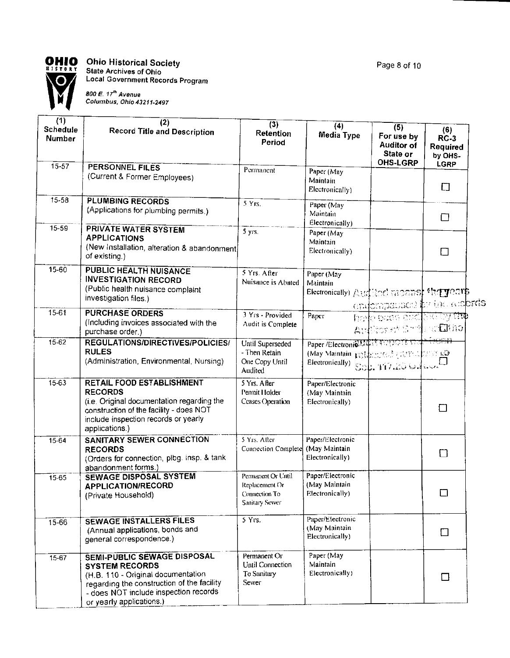

**Ohio Historical Society** State Archives of Ohio

Local Government Records Program

**800 E. 17'" Avenue Columbus, Ohio 43211-24S7**

| (1)<br>Schedule<br><b>Number</b> | (2)<br><b>Record Title and Description</b>                                                                                                                                                                    | (3)<br>Retention<br>Period                                              | (4)<br>Media Type                                                                                                         | (5)<br>For use by<br><b>Auditor of</b><br>State or<br><b>OHS-LGRP</b> | (6)<br>$RC-3$<br><b>Required</b><br>by OHS- |
|----------------------------------|---------------------------------------------------------------------------------------------------------------------------------------------------------------------------------------------------------------|-------------------------------------------------------------------------|---------------------------------------------------------------------------------------------------------------------------|-----------------------------------------------------------------------|---------------------------------------------|
| $15 - 57$                        | <b>PERSONNEL FILES</b><br>(Current & Former Employees)                                                                                                                                                        | Permanent                                                               | Paper (May<br>Maintain<br>Electronically)                                                                                 |                                                                       | <b>LGRP</b><br>囗                            |
| $15 - 58$                        | <b>PLUMBING RECORDS</b><br>(Applications for plumbing permits.)                                                                                                                                               | 5 Yrs.                                                                  | Paper (May<br>Maintain<br>Electronically)                                                                                 |                                                                       | □                                           |
| $15 - 59$                        | <b>PRIVATE WATER SYSTEM</b><br><b>APPLICATIONS</b><br>(New Installation, alteration & abandonment)<br>of existing.)                                                                                           | 5 yrs.                                                                  | Paper (May<br>Maintain<br>Electronically)                                                                                 |                                                                       | $\Box$                                      |
| 15-60                            | <b>PUBLIC HEALTH NUISANCE</b><br><b>INVESTIGATION RECORD</b><br>(Public health nuisance complaint<br>investigation files.)                                                                                    | 5 Yrs. After<br>Nuisance is Abated                                      | Paper (May<br>Maintain<br>Electronically) Australianal and analysis fact years                                            | endompatines hy the comprehs                                          |                                             |
| $15 - 61$                        | <b>PURCHASE ORDERS</b><br>(Including invoices associated with the<br>purchase order.)                                                                                                                         | 3 Yrs - Provided<br>Audit is Complete                                   | Paper                                                                                                                     | harle been abd Nictory the<br>Author of Grid scaling                  |                                             |
| $15 - 62$                        | <b>REGULATIONS/DIRECTIVES/POLICIES/</b><br><b>RULES</b><br>(Administration, Environmental, Nursing)                                                                                                           | Until Superseded<br>- Then Retain<br>One Copy Until<br>Audited          | Paper /Electronio Lidit Horport Stolt 1980-13<br>(May Maintain postponent) and an ICP SQ<br>Electronically) 802. 117.2004 |                                                                       |                                             |
| $15 - 63$                        | <b>RETAIL FOOD ESTABLISHMENT</b><br><b>RECORDS</b><br>(i.e. Original documentation regarding the<br>construction of the facility - does NOT<br>include inspection records or yearly<br>applications.)         | 5 Yrs. After<br>Permit Holder<br>Ceases Operation                       | Paper/Efectronic<br>(May Maintain<br>Electronically)                                                                      |                                                                       | □                                           |
| 15-64                            | <b>SANITARY SEWER CONNECTION</b><br><b>RECORDS</b><br>(Orders for connection, plbg. insp. & tank<br>abandonment forms.)                                                                                       | 5 Yrs. After<br><b>Connection Complete</b>                              | Paper/Electronic<br>(May Maintain<br>Electronically)                                                                      |                                                                       | П                                           |
| 15-65                            | <b>SEWAGE DISPOSAL SYSTEM</b><br><b>APPLICATION/RECORD</b><br>(Private Household)                                                                                                                             | Permanent Or Until<br>Replacement Or<br>Connection To<br>Sanitary Sewer | Paper/Electronic<br>(May Maintain<br>Electronically)                                                                      |                                                                       | П                                           |
| $15 - 66$                        | <b>SEWAGE INSTALLERS FILES</b><br>(Annual applications, bonds and<br>general correspondence.)                                                                                                                 | $5 \text{Y}$ rs.                                                        | Paper/Electronic<br>(May Maintain<br>Electronically)                                                                      |                                                                       | $\Box$                                      |
| $15 - 67$                        | SEMI-PUBLIC SEWAGE DISPOSAL<br><b>SYSTEM RECORDS</b><br>(H.B. 110 - Original documentation<br>regarding the construction of the facility<br>- does NOT include inspection records<br>or yearly applications.) | Permanent Or<br>Until Connection<br>To Sanitary<br>Sewer                | Paper (May<br>Maintain<br>Electronically)                                                                                 |                                                                       | $\Box$                                      |

Page 8 of 10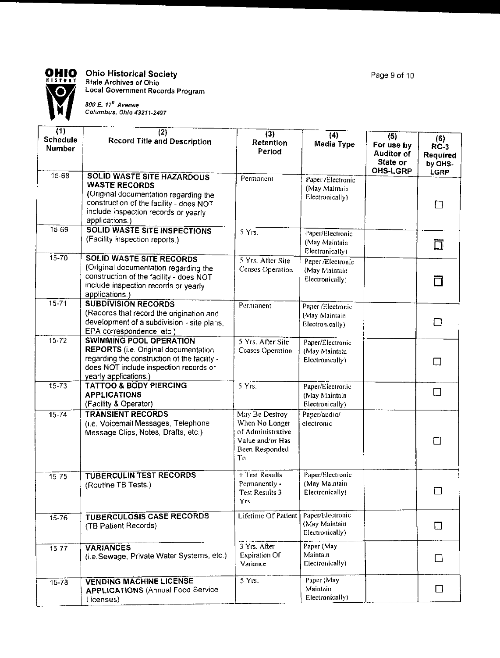

### **OHIO Ohio Historical Society**

**State Archives of Ohio Local Government Records Program**

**800 E. 17'" Avenue Columbus, Ohio 43211-2497**

| (1)<br><b>Schedule</b><br>Number | (2)<br><b>Record Title and Description</b>                                                                                                                                                              | (3)<br>Retention<br>Period                                                                        | (4)<br>Media Type                                     | (5)<br>For use by<br><b>Auditor of</b><br>State or | (6)<br><b>RC-3</b><br>Required<br>by OHS- |
|----------------------------------|---------------------------------------------------------------------------------------------------------------------------------------------------------------------------------------------------------|---------------------------------------------------------------------------------------------------|-------------------------------------------------------|----------------------------------------------------|-------------------------------------------|
| 15.68                            | <b>SOLID WASTE SITE HAZARDOUS</b><br><b>WASTE RECORDS</b><br>(Original documentation regarding the<br>construction of the facility - does NOT<br>include inspection records or yearly<br>applications.) | Permanent                                                                                         | Paper /Electronic<br>(May Maintain<br>Electronically) | <b>OHS-LGRP</b>                                    | LGRP<br>$\Box$                            |
| 15-69                            | <b>SOLID WASTE SITE INSPECTIONS</b><br>(Facility inspection reports.)                                                                                                                                   | 5 Yrs.                                                                                            | Paper/Electronic<br>(May Maintain<br>Electronically)  |                                                    | 囗                                         |
| $15 - 70$                        | <b>SOLID WASTE SITE RECORDS</b><br>(Original documentation regarding the<br>construction of the facility - does NOT<br>include inspection records or yearly<br>applications.)                           | 5 Yrs. After Site<br><b>Ceases Operation</b>                                                      | Paper /Electronic<br>(May Maintain<br>Electronically) |                                                    |                                           |
| $15 - 71$                        | <b>SUBDIVISION RECORDS</b><br>(Records that record the origination and<br>development of a subdivision - site plans.<br>EPA correspondence, etc.)                                                       | Permanent                                                                                         | Paper /Electronic<br>(May Maintain<br>Electronically) |                                                    | П                                         |
| $15 - 72$                        | <b>SWIMMING POOL OPERATION</b><br><b>REPORTS</b> (i.e. Original documentation<br>regarding the construction of the facility -<br>does NOT include inspection records or<br>yearly applications.)        | 5 Yrs. After Site<br><b>Ceases Operation</b>                                                      | Paper/Electronic<br>(May Maintain<br>Electronically)  |                                                    | $\Box$                                    |
| $15 - 73$                        | <b>TATTOO &amp; BODY PIERCING</b><br><b>APPLICATIONS</b><br>(Facility & Operator)                                                                                                                       | $5 \text{Yrs.}$                                                                                   | Paper/Electronic<br>(May Maintain<br>Electronically)  |                                                    | $\Box$                                    |
| $15 - 74$                        | <b>TRANSIENT RECORDS</b><br>(i.e. Voicemail Messages, Telephone<br>Message Clips, Notes, Drafts, etc.)                                                                                                  | May Be Destroy<br>When No Longer<br>of Administrative<br>Value and/or Has<br>Been Responded<br>To | Paper/audio/<br>electronic                            |                                                    |                                           |
| $15 - 75$                        | <b>TUBERCULIN TEST RECORDS</b><br>(Routine TB Tests.)                                                                                                                                                   | $+$ Test Results<br>Permanently -<br><b>Test Results 3</b><br>Yrs.                                | Paper/Electronic<br>(May Maintain<br>Electronically)  |                                                    |                                           |
| $15 - 76$                        | <b>TUBERCULOSIS CASE RECORDS</b><br>(TB Patient Records)                                                                                                                                                | Lifetime Of Patient                                                                               | Paper/Electronic<br>(May Maintain<br>Electronically)  |                                                    | $\Box$                                    |
| $15 - 77$                        | <b>VARIANCES</b><br>(i.e.Sewage, Private Water Systems, etc.)                                                                                                                                           | 3 Yrs. After<br><b>Expiration Of</b><br>Variance                                                  | Paper (May<br>Maintain<br>Electronically)             |                                                    | □                                         |
| 15.78                            | <b>VENDING MACHINE LICENSE</b><br><b>APPLICATIONS (Annual Food Service)</b><br>Licenses)                                                                                                                | 5 Yrs.                                                                                            | Paper (May<br>Maintain<br>Electronically)             |                                                    | П                                         |

Page 9 of 10